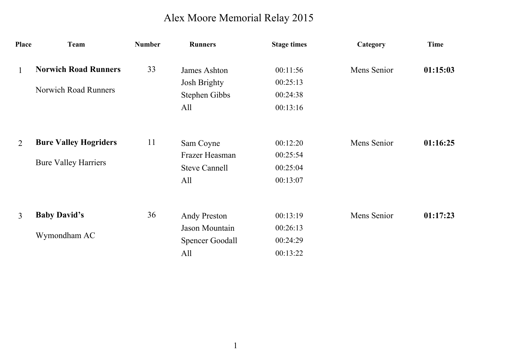## Alex Moore Memorial Relay 2015

| <b>Place</b>   | Team                         | <b>Number</b> | <b>Runners</b>         | <b>Stage times</b> | Category    | Time     |
|----------------|------------------------------|---------------|------------------------|--------------------|-------------|----------|
| $\mathbf{1}$   | <b>Norwich Road Runners</b>  | 33            | James Ashton           | 00:11:56           | Mens Senior | 01:15:03 |
|                |                              |               | <b>Josh Brighty</b>    | 00:25:13           |             |          |
|                | <b>Norwich Road Runners</b>  |               | Stephen Gibbs          | 00:24:38           |             |          |
|                |                              |               | All                    | 00:13:16           |             |          |
| 2              | <b>Bure Valley Hogriders</b> | 11            | Sam Coyne              | 00:12:20           | Mens Senior | 01:16:25 |
|                |                              |               | Frazer Heasman         | 00:25:54           |             |          |
|                | <b>Bure Valley Harriers</b>  |               | <b>Steve Cannell</b>   | 00:25:04           |             |          |
|                |                              |               | All                    | 00:13:07           |             |          |
| $\mathfrak{Z}$ | <b>Baby David's</b>          | 36            | <b>Andy Preston</b>    | 00:13:19           | Mens Senior | 01:17:23 |
|                |                              |               | Jason Mountain         | 00:26:13           |             |          |
|                | Wymondham AC                 |               | <b>Spencer Goodall</b> | 00:24:29           |             |          |
|                |                              |               | All                    | 00:13:22           |             |          |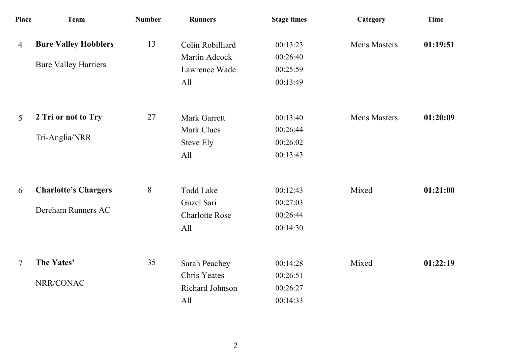| <b>Place</b>   | <b>Team</b>                                                | <b>Number</b> | <b>Runners</b>                                                 | <b>Stage times</b>                           | Category            | <b>Time</b> |
|----------------|------------------------------------------------------------|---------------|----------------------------------------------------------------|----------------------------------------------|---------------------|-------------|
| $\overline{4}$ | <b>Bure Valley Hobblers</b><br><b>Bure Valley Harriers</b> | 13            | Colin Robilliard<br>Martin Adcock<br>Lawrence Wade<br>All      | 00:13:23<br>00:26:40<br>00:25:59<br>00:13:49 | <b>Mens Masters</b> | 01:19:51    |
| 5              | 2 Tri or not to Try<br>Tri-Anglia/NRR                      | 27            | <b>Mark Garrett</b><br><b>Mark Clues</b><br>Steve Ely<br>All   | 00:13:40<br>00:26:44<br>00:26:02<br>00:13:43 | <b>Mens Masters</b> | 01:20:09    |
| 6              | <b>Charlotte's Chargers</b><br>Dereham Runners AC          | 8             | <b>Todd Lake</b><br>Guzel Sari<br><b>Charlotte Rose</b><br>All | 00:12:43<br>00:27:03<br>00:26:44<br>00:14:30 | Mixed               | 01:21:00    |
| $\overline{7}$ | The Yates'<br>NRR/CONAC                                    | 35            | Sarah Peachey<br><b>Chris Yeates</b><br>Richard Johnson<br>All | 00:14:28<br>00:26:51<br>00:26:27<br>00:14:33 | Mixed               | 01:22:19    |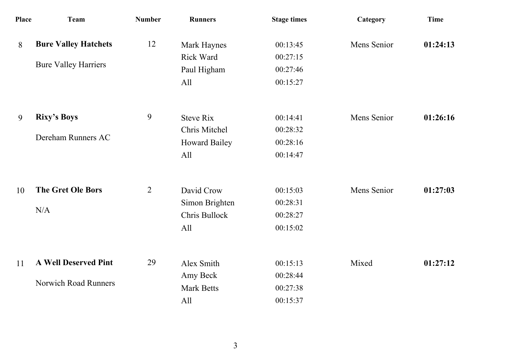| <b>Team</b>                 | <b>Number</b>                                                                                    | <b>Runners</b>    | <b>Stage times</b> | Category    | <b>Time</b> |
|-----------------------------|--------------------------------------------------------------------------------------------------|-------------------|--------------------|-------------|-------------|
| <b>Bure Valley Hatchets</b> | 12                                                                                               | Mark Haynes       | 00:13:45           | Mens Senior | 01:24:13    |
|                             |                                                                                                  | <b>Rick Ward</b>  | 00:27:15           |             |             |
|                             |                                                                                                  | Paul Higham       | 00:27:46           |             |             |
|                             |                                                                                                  | All               | 00:15:27           |             |             |
| <b>Rixy's Boys</b>          | 9                                                                                                | <b>Steve Rix</b>  | 00:14:41           | Mens Senior | 01:26:16    |
|                             |                                                                                                  | Chris Mitchel     | 00:28:32           |             |             |
|                             |                                                                                                  | Howard Bailey     | 00:28:16           |             |             |
|                             |                                                                                                  | All               | 00:14:47           |             |             |
| <b>The Gret Ole Bors</b>    | $\overline{2}$                                                                                   | David Crow        | 00:15:03           | Mens Senior | 01:27:03    |
|                             |                                                                                                  | Simon Brighten    | 00:28:31           |             |             |
|                             |                                                                                                  | Chris Bullock     | 00:28:27           |             |             |
|                             |                                                                                                  | All               | 00:15:02           |             |             |
| <b>A Well Deserved Pint</b> | 29                                                                                               | Alex Smith        | 00:15:13           | Mixed       | 01:27:12    |
|                             |                                                                                                  | Amy Beck          | 00:28:44           |             |             |
|                             |                                                                                                  | <b>Mark Betts</b> | 00:27:38           |             |             |
|                             |                                                                                                  | All               | 00:15:37           |             |             |
|                             | <b>Place</b><br><b>Bure Valley Harriers</b><br>Dereham Runners AC<br>N/A<br>Norwich Road Runners |                   |                    |             |             |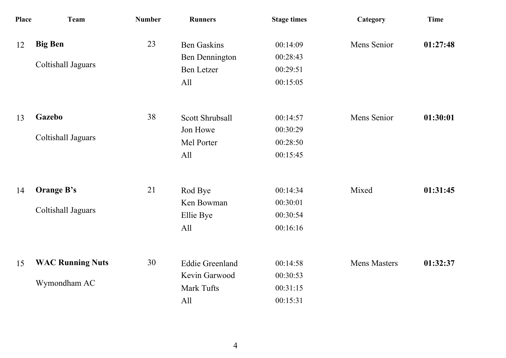| Place | <b>Team</b>                             | <b>Number</b> | <b>Runners</b>                                                          | <b>Stage times</b>                           | Category            | <b>Time</b> |
|-------|-----------------------------------------|---------------|-------------------------------------------------------------------------|----------------------------------------------|---------------------|-------------|
| 12    | <b>Big Ben</b><br>Coltishall Jaguars    | 23            | <b>Ben Gaskins</b><br><b>Ben Dennington</b><br><b>Ben Letzer</b><br>All | 00:14:09<br>00:28:43<br>00:29:51<br>00:15:05 | Mens Senior         | 01:27:48    |
| 13    | <b>Gazebo</b><br>Coltishall Jaguars     | 38            | <b>Scott Shrubsall</b><br>Jon Howe<br>Mel Porter<br>All                 | 00:14:57<br>00:30:29<br>00:28:50<br>00:15:45 | Mens Senior         | 01:30:01    |
| 14    | <b>Orange B's</b><br>Coltishall Jaguars | 21            | Rod Bye<br>Ken Bowman<br>Ellie Bye<br>All                               | 00:14:34<br>00:30:01<br>00:30:54<br>00:16:16 | Mixed               | 01:31:45    |
| 15    | <b>WAC Running Nuts</b><br>Wymondham AC | 30            | <b>Eddie Greenland</b><br>Kevin Garwood<br>Mark Tufts<br>All            | 00:14:58<br>00:30:53<br>00:31:15<br>00:15:31 | <b>Mens Masters</b> | 01:32:37    |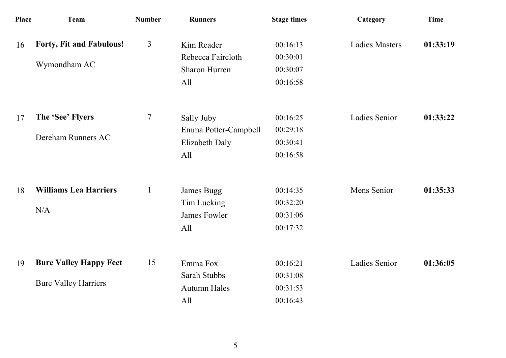| Place | <b>Team</b>                   | <b>Number</b>  | <b>Runners</b>       | <b>Stage times</b> | Category              | <b>Time</b> |
|-------|-------------------------------|----------------|----------------------|--------------------|-----------------------|-------------|
| 16    | Forty, Fit and Fabulous!      | $\overline{3}$ | Kim Reader           | 00:16:13           | <b>Ladies Masters</b> | 01:33:19    |
|       | Wymondham AC                  |                | Rebecca Faircloth    | 00:30:01           |                       |             |
|       |                               |                | <b>Sharon Hurren</b> | 00:30:07           |                       |             |
|       |                               |                | All                  | 00:16:58           |                       |             |
| 17    | The 'See' Flyers              | 7              | Sally Juby           | 00:16:25           | <b>Ladies Senior</b>  | 01:33:22    |
|       |                               |                | Emma Potter-Campbell | 00:29:18           |                       |             |
|       | Dereham Runners AC            |                | Elizabeth Daly       | 00:30:41           |                       |             |
|       |                               |                | All                  | 00:16:58           |                       |             |
| 18    | <b>Williams Lea Harriers</b>  | $\mathbf{1}$   | James Bugg           | 00:14:35           | Mens Senior           | 01:35:33    |
|       |                               |                | Tim Lucking          | 00:32:20           |                       |             |
|       | N/A                           |                | James Fowler         | 00:31:06           |                       |             |
|       |                               |                | All                  | 00:17:32           |                       |             |
| 19    | <b>Bure Valley Happy Feet</b> | 15             | Emma Fox             | 00:16:21           | <b>Ladies Senior</b>  | 01:36:05    |
|       |                               |                | Sarah Stubbs         | 00:31:08           |                       |             |
|       | <b>Bure Valley Harriers</b>   |                | <b>Autumn Hales</b>  | 00:31:53           |                       |             |
|       |                               |                | All                  | 00:16:43           |                       |             |
|       |                               |                |                      |                    |                       |             |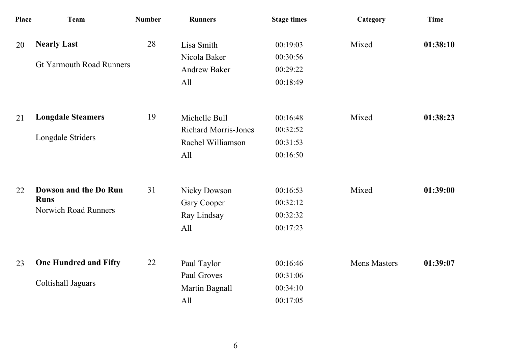| <b>Place</b> | <b>Team</b>                                                         | <b>Number</b> | <b>Runners</b>                                                           | <b>Stage times</b>                           | Category            | <b>Time</b> |
|--------------|---------------------------------------------------------------------|---------------|--------------------------------------------------------------------------|----------------------------------------------|---------------------|-------------|
| 20           | <b>Nearly Last</b><br><b>Gt Yarmouth Road Runners</b>               | 28            | Lisa Smith<br>Nicola Baker<br><b>Andrew Baker</b><br>All                 | 00:19:03<br>00:30:56<br>00:29:22<br>00:18:49 | Mixed               | 01:38:10    |
| 21           | <b>Longdale Steamers</b><br>Longdale Striders                       | 19            | Michelle Bull<br><b>Richard Morris-Jones</b><br>Rachel Williamson<br>All | 00:16:48<br>00:32:52<br>00:31:53<br>00:16:50 | Mixed               | 01:38:23    |
| 22           | Dowson and the Do Run<br><b>Runs</b><br><b>Norwich Road Runners</b> | 31            | <b>Nicky Dowson</b><br>Gary Cooper<br>Ray Lindsay<br>All                 | 00:16:53<br>00:32:12<br>00:32:32<br>00:17:23 | Mixed               | 01:39:00    |
| 23           | <b>One Hundred and Fifty</b><br>Coltishall Jaguars                  | 22            | Paul Taylor<br>Paul Groves<br>Martin Bagnall<br>All                      | 00:16:46<br>00:31:06<br>00:34:10<br>00:17:05 | <b>Mens Masters</b> | 01:39:07    |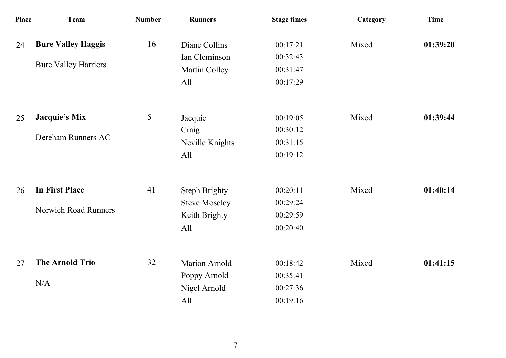| Place | <b>Team</b>                                          | <b>Number</b> | <b>Runners</b>                                                       | <b>Stage times</b>                           | Category | <b>Time</b> |
|-------|------------------------------------------------------|---------------|----------------------------------------------------------------------|----------------------------------------------|----------|-------------|
| 24    | <b>Bure Valley Haggis</b>                            | 16            | Diane Collins<br>Ian Cleminson                                       | 00:17:21<br>00:32:43                         | Mixed    | 01:39:20    |
|       | <b>Bure Valley Harriers</b>                          |               | Martin Colley<br>All                                                 | 00:31:47<br>00:17:29                         |          |             |
| 25    | <b>Jacquie's Mix</b><br>Dereham Runners AC           | 5             | Jacquie<br>Craig<br>Neville Knights<br>All                           | 00:19:05<br>00:30:12<br>00:31:15<br>00:19:12 | Mixed    | 01:39:44    |
| 26    | <b>In First Place</b><br><b>Norwich Road Runners</b> | 41            | <b>Steph Brighty</b><br><b>Steve Moseley</b><br>Keith Brighty<br>All | 00:20:11<br>00:29:24<br>00:29:59<br>00:20:40 | Mixed    | 01:40:14    |
| 27    | <b>The Arnold Trio</b><br>N/A                        | 32            | <b>Marion Arnold</b><br>Poppy Arnold<br>Nigel Arnold<br>All          | 00:18:42<br>00:35:41<br>00:27:36<br>00:19:16 | Mixed    | 01:41:15    |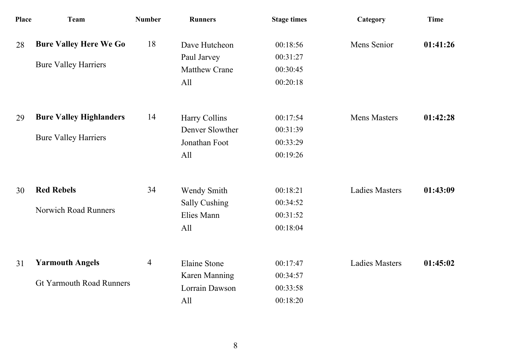| <b>Place</b> | Team                            | <b>Number</b> | <b>Runners</b>       | <b>Stage times</b> | Category              | <b>Time</b> |
|--------------|---------------------------------|---------------|----------------------|--------------------|-----------------------|-------------|
| 28           | <b>Bure Valley Here We Go</b>   | 18            | Dave Hutcheon        | 00:18:56           | Mens Senior           | 01:41:26    |
|              |                                 |               | Paul Jarvey          | 00:31:27           |                       |             |
|              | <b>Bure Valley Harriers</b>     |               | <b>Matthew Crane</b> | 00:30:45           |                       |             |
|              |                                 |               | All                  | 00:20:18           |                       |             |
| 29           | <b>Bure Valley Highlanders</b>  | 14            | Harry Collins        | 00:17:54           | <b>Mens Masters</b>   | 01:42:28    |
|              |                                 |               | Denver Slowther      | 00:31:39           |                       |             |
|              | <b>Bure Valley Harriers</b>     |               | Jonathan Foot        | 00:33:29           |                       |             |
|              |                                 |               | All                  | 00:19:26           |                       |             |
| 30           | <b>Red Rebels</b>               | 34            | Wendy Smith          | 00:18:21           | <b>Ladies Masters</b> | 01:43:09    |
|              |                                 |               | <b>Sally Cushing</b> | 00:34:52           |                       |             |
|              | <b>Norwich Road Runners</b>     |               | Elies Mann           | 00:31:52           |                       |             |
|              |                                 |               | All                  | 00:18:04           |                       |             |
| 31           | <b>Yarmouth Angels</b>          | 4             | <b>Elaine Stone</b>  | 00:17:47           | <b>Ladies Masters</b> | 01:45:02    |
|              |                                 |               | Karen Manning        | 00:34:57           |                       |             |
|              | <b>Gt Yarmouth Road Runners</b> |               | Lorrain Dawson       | 00:33:58           |                       |             |
|              |                                 |               | All                  | 00:18:20           |                       |             |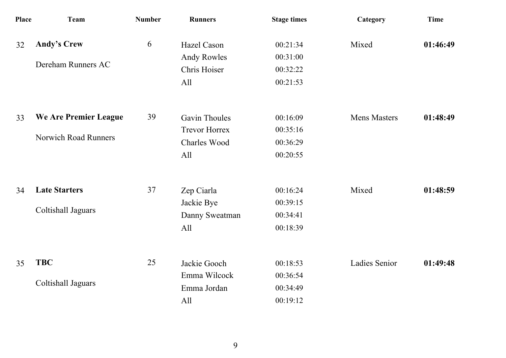| Place | <b>Team</b>                 | <b>Number</b> | <b>Runners</b>       | <b>Stage times</b> | Category             | <b>Time</b> |
|-------|-----------------------------|---------------|----------------------|--------------------|----------------------|-------------|
| 32    | <b>Andy's Crew</b>          | 6             | Hazel Cason          | 00:21:34           | Mixed                | 01:46:49    |
|       | Dereham Runners AC          |               | <b>Andy Rowles</b>   | 00:31:00           |                      |             |
|       |                             |               | Chris Hoiser         | 00:32:22           |                      |             |
|       |                             |               | All                  | 00:21:53           |                      |             |
| 33    | We Are Premier League       | 39            | <b>Gavin Thoules</b> | 00:16:09           | <b>Mens Masters</b>  | 01:48:49    |
|       |                             |               | <b>Trevor Horrex</b> | 00:35:16           |                      |             |
|       | <b>Norwich Road Runners</b> |               | <b>Charles Wood</b>  | 00:36:29           |                      |             |
|       |                             |               | All                  | 00:20:55           |                      |             |
| 34    | <b>Late Starters</b>        | 37            | Zep Ciarla           | 00:16:24           | Mixed                | 01:48:59    |
|       |                             |               | Jackie Bye           | 00:39:15           |                      |             |
|       | Coltishall Jaguars          |               | Danny Sweatman       | 00:34:41           |                      |             |
|       |                             |               | All                  | 00:18:39           |                      |             |
| 35    | <b>TBC</b>                  | 25            | Jackie Gooch         | 00:18:53           | <b>Ladies Senior</b> | 01:49:48    |
|       |                             |               | Emma Wilcock         | 00:36:54           |                      |             |
|       | Coltishall Jaguars          |               | Emma Jordan          | 00:34:49           |                      |             |
|       |                             |               | All                  | 00:19:12           |                      |             |
|       |                             |               |                      |                    |                      |             |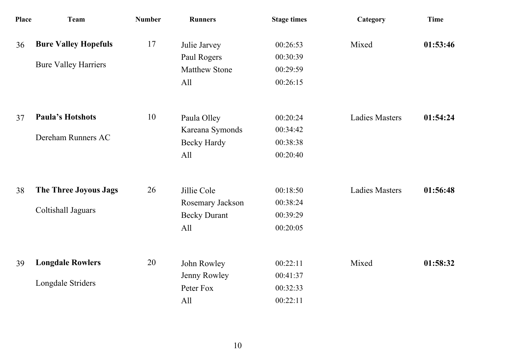| Place | <b>Team</b>                                                | <b>Number</b> | <b>Runners</b>                                                | <b>Stage times</b>                           | Category              | <b>Time</b> |
|-------|------------------------------------------------------------|---------------|---------------------------------------------------------------|----------------------------------------------|-----------------------|-------------|
| 36    | <b>Bure Valley Hopefuls</b><br><b>Bure Valley Harriers</b> | 17            | Julie Jarvey<br>Paul Rogers<br><b>Matthew Stone</b>           | 00:26:53<br>00:30:39<br>00:29:59             | Mixed                 | 01:53:46    |
|       |                                                            |               | All                                                           | 00:26:15                                     |                       |             |
| 37    | <b>Paula's Hotshots</b><br>Dereham Runners AC              | 10            | Paula Olley<br>Kareana Symonds<br><b>Becky Hardy</b><br>All   | 00:20:24<br>00:34:42<br>00:38:38<br>00:20:40 | <b>Ladies Masters</b> | 01:54:24    |
| 38    | The Three Joyous Jags<br>Coltishall Jaguars                | 26            | Jillie Cole<br>Rosemary Jackson<br><b>Becky Durant</b><br>All | 00:18:50<br>00:38:24<br>00:39:29<br>00:20:05 | <b>Ladies Masters</b> | 01:56:48    |
| 39    | <b>Longdale Rowlers</b><br>Longdale Striders               | 20            | John Rowley<br>Jenny Rowley<br>Peter Fox<br>All               | 00:22:11<br>00:41:37<br>00:32:33<br>00:22:11 | Mixed                 | 01:58:32    |